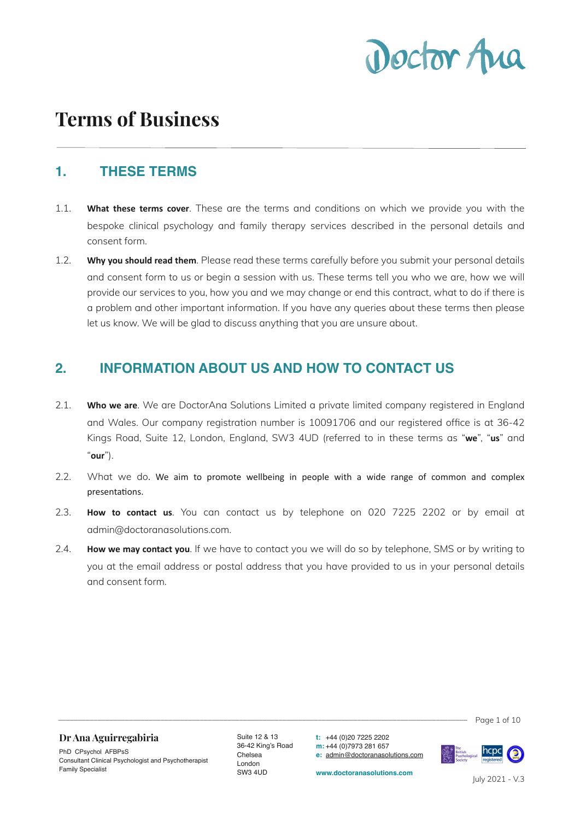

# **Terms of Business**

#### **1. THESE TERMS**

- 1.1. **What these terms cover**. These are the terms and conditions on which we provide you with the bespoke clinical psychology and family therapy services described in the personal details and consent form.
- 1.2. **Why you should read them**. Please read these terms carefully before you submit your personal details and consent form to us or begin a session with us. These terms tell you who we are, how we will provide our services to you, how you and we may change or end this contract, what to do if there is a problem and other important information. If you have any queries about these terms then please let us know. We will be glad to discuss anything that you are unsure about.

#### **2. INFORMATION ABOUT US AND HOW TO CONTACT US**

- 2.1. **Who we are**. We are DoctorAna Solutions Limited a private limited company registered in England and Wales. Our company registration number is 10091706 and our registered office is at 36-42 Kings Road, Suite 12, London, England, SW3 4UD (referred to in these terms as "**we**", "**us**" and "**our**").
- 2.2. What we do. We aim to promote wellbeing in people with a wide range of common and complex presentations.
- 2.3. **How to contact us**. You can contact us by telephone on 020 7225 2202 or by email at admin@doctoranasolutions.com.
- 2.4. **How we may contact you**. If we have to contact you we will do so by telephone, SMS or by writing to you at the email address or postal address that you have provided to us in your personal details and consent form.

 $\overline{\phantom{a}}$  Page 1 of 10

#### **Dr Ana Aguirregabiria**

PhD CPsychol AFBPsS Consultant Clinical Psychologist and Psychotherapist Family Specialist

Suite 12 & 13 36-42 King's Road Chelsea London SW3 4UD

**t:** +44 (0)20 7225 2202 **m:** +44 (0)7973 281 657 **e:** [admin@doctoranasolutions.com](mailto:admin@doctoranasolutions.com)

**www.doctoranasolutions.com**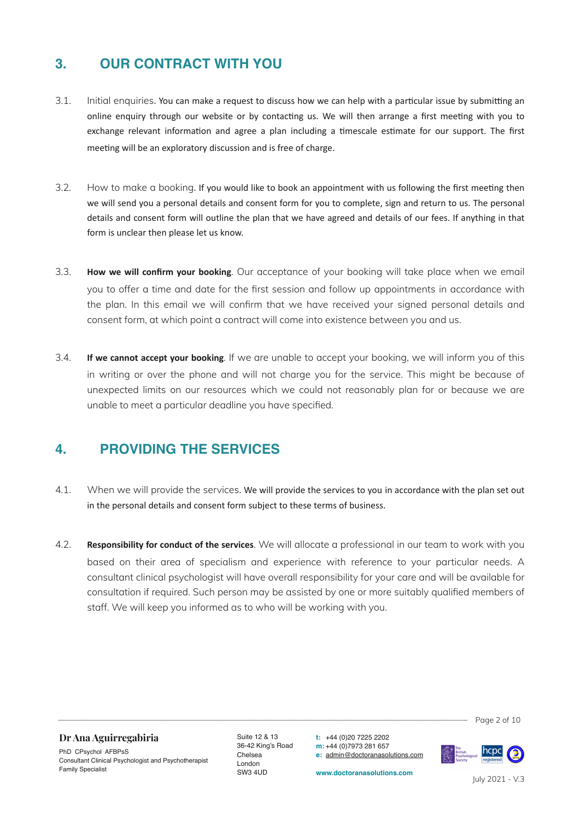### **3. OUR CONTRACT WITH YOU**

- 3.1. Initial enquiries. You can make a request to discuss how we can help with a particular issue by submitting an online enquiry through our website or by contacting us. We will then arrange a first meeting with you to exchange relevant information and agree a plan including a timescale estimate for our support. The first meeting will be an exploratory discussion and is free of charge.
- 3.2. How to make a booking. If you would like to book an appointment with us following the first meeting then we will send you a personal details and consent form for you to complete, sign and return to us. The personal details and consent form will outline the plan that we have agreed and details of our fees. If anything in that form is unclear then please let us know.
- 3.3. **How we will confirm your booking**. Our acceptance of your booking will take place when we email you to offer a time and date for the first session and follow up appointments in accordance with the plan. In this email we will confirm that we have received your signed personal details and consent form, at which point a contract will come into existence between you and us.
- 3.4. **If we cannot accept your booking**. If we are unable to accept your booking, we will inform you of this in writing or over the phone and will not charge you for the service. This might be because of unexpected limits on our resources which we could not reasonably plan for or because we are unable to meet a particular deadline you have specified.

#### **4. PROVIDING THE SERVICES**

- 4.1. When we will provide the services. We will provide the services to you in accordance with the plan set out in the personal details and consent form subject to these terms of business.
- 4.2. **Responsibility for conduct of the services**. We will allocate a professional in our team to work with you based on their area of specialism and experience with reference to your particular needs. A consultant clinical psychologist will have overall responsibility for your care and will be available for consultation if required. Such person may be assisted by one or more suitably qualified members of staff. We will keep you informed as to who will be working with you.

 $\frac{1}{2}$  Page 2 of 10

#### **Dr Ana Aguirregabiria**

PhD CPsychol AFBPsS Consultant Clinical Psychologist and Psychotherapist Family Specialist

Suite 12 & 13 36-42 King's Road Chelsea London SW3 4UD

**t:** +44 (0)20 7225 2202 **m:** +44 (0)7973 281 657 **e:** [admin@doctoranasolutions.com](mailto:admin@doctoranasolutions.com)

**www.doctoranasolutions.com**

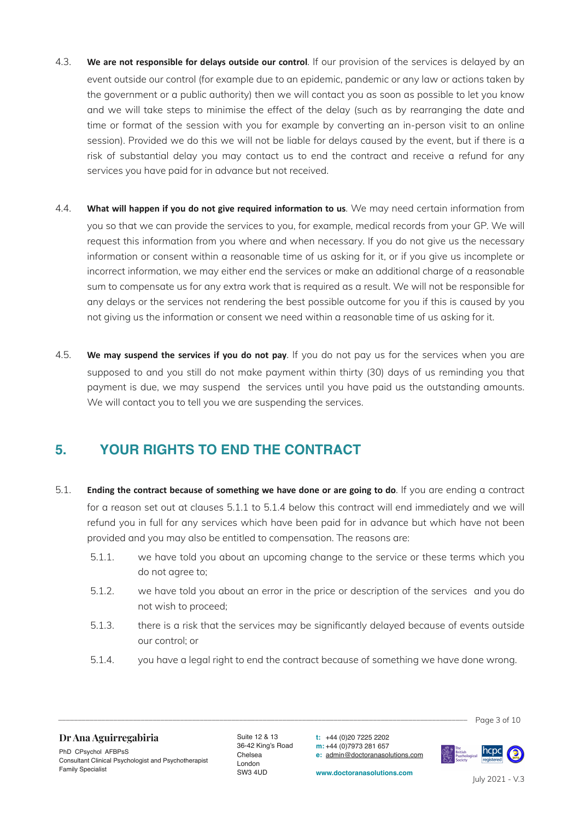- 4.3. **We are not responsible for delays outside our control**. If our provision of the services is delayed by an event outside our control (for example due to an epidemic, pandemic or any law or actions taken by the government or a public authority) then we will contact you as soon as possible to let you know and we will take steps to minimise the effect of the delay (such as by rearranging the date and time or format of the session with you for example by converting an in-person visit to an online session). Provided we do this we will not be liable for delays caused by the event, but if there is a risk of substantial delay you may contact us to end the contract and receive a refund for any services you have paid for in advance but not received.
- 4.4. **What will happen if you do not give required information to us**. We may need certain information from you so that we can provide the services to you, for example, medical records from your GP. We will request this information from you where and when necessary. If you do not give us the necessary information or consent within a reasonable time of us asking for it, or if you give us incomplete or incorrect information, we may either end the services or make an additional charge of a reasonable sum to compensate us for any extra work that is required as a result. We will not be responsible for any delays or the services not rendering the best possible outcome for you if this is caused by you not giving us the information or consent we need within a reasonable time of us asking for it.
- 4.5. **We may suspend the services if you do not pay**. If you do not pay us for the services when you are supposed to and you still do not make payment within thirty (30) days of us reminding you that payment is due, we may suspend the services until you have paid us the outstanding amounts. We will contact you to tell you we are suspending the services.

### **5. YOUR RIGHTS TO END THE CONTRACT**

- 5.1. **Ending the contract because of something we have done or are going to do**. If you are ending a contract for a reason set out at clauses 5.1.1 to 5.1.4 below this contract will end immediately and we will refund you in full for any services which have been paid for in advance but which have not been provided and you may also be entitled to compensation. The reasons are:
	- 5.1.1. we have told you about an upcoming change to the service or these terms which you do not agree to;
	- 5.1.2. we have told you about an error in the price or description of the services and you do not wish to proceed;
	- 5.1.3. there is a risk that the services may be significantly delayed because of events outside our control; or
	- 5.1.4. you have a legal right to end the contract because of something we have done wrong.

 $\overline{\phantom{a}}$  Page 3 of 10

#### **Dr Ana Aguirregabiria**

PhD CPsychol AFBPsS Consultant Clinical Psychologist and Psychotherapist Family Specialist

Suite 12 & 13 36-42 King's Road Chelsea London SW3 4UD

**t:** +44 (0)20 7225 2202 **m:** +44 (0)7973 281 657 **e:** [admin@doctoranasolutions.com](mailto:admin@doctoranasolutions.com)

**www.doctoranasolutions.com**

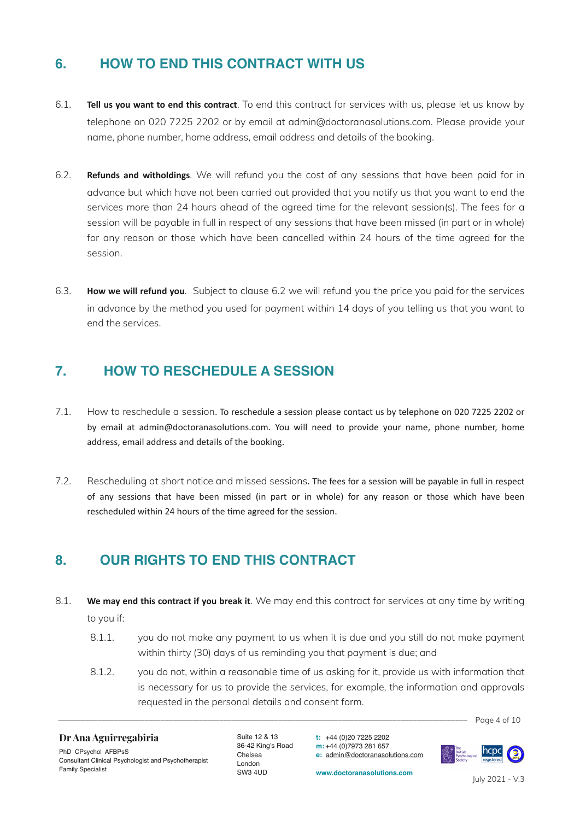## **6. HOW TO END THIS CONTRACT WITH US**

- 6.1. **Tell us you want to end this contract**. To end this contract for services with us, please let us know by telephone on 020 7225 2202 or by email at admin@doctoranasolutions.com. Please provide your name, phone number, home address, email address and details of the booking.
- 6.2. **Refunds and witholdings**. We will refund you the cost of any sessions that have been paid for in advance but which have not been carried out provided that you notify us that you want to end the services more than 24 hours ahead of the agreed time for the relevant session(s). The fees for a session will be payable in full in respect of any sessions that have been missed (in part or in whole) for any reason or those which have been cancelled within 24 hours of the time agreed for the session.
- 6.3. **How we will refund you**. Subject to clause 6.2 we will refund you the price you paid for the services in advance by the method you used for payment within 14 days of you telling us that you want to end the services.

### **7. HOW TO RESCHEDULE A SESSION**

- 7.1. How to reschedule a session. To reschedule a session please contact us by telephone on 020 7225 2202 or by email at admin@doctoranasolutions.com. You will need to provide your name, phone number, home address, email address and details of the booking.
- 7.2. Rescheduling at short notice and missed sessions. The fees for a session will be payable in full in respect of any sessions that have been missed (in part or in whole) for any reason or those which have been rescheduled within 24 hours of the time agreed for the session.

#### **8. OUR RIGHTS TO END THIS CONTRACT**

- 8.1. **We may end this contract if you break it**. We may end this contract for services at any time by writing to you if:
	- 8.1.1. you do not make any payment to us when it is due and you still do not make payment within thirty (30) days of us reminding you that payment is due; and
	- 8.1.2. you do not, within a reasonable time of us asking for it, provide us with information that is necessary for us to provide the services, for example, the information and approvals requested in the personal details and consent form.

 $\frac{1}{2}$  Page 4 of 10

#### **Dr Ana Aguirregabiria**

PhD CPsychol AFBPsS Consultant Clinical Psychologist and Psychotherapist Family Specialist

Suite 12 & 13 36-42 King's Road Chelsea London SW3 4UD

**t:** +44 (0)20 7225 2202 **m:** +44 (0)7973 281 657 **e:** [admin@doctoranasolutions.com](mailto:admin@doctoranasolutions.com)

**www.doctoranasolutions.com**

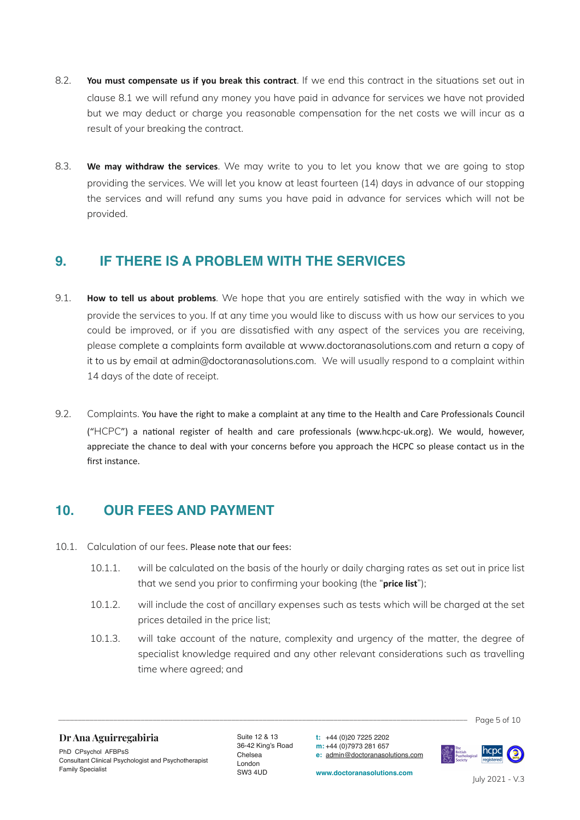- 8.2. **You must compensate us if you break this contract**. If we end this contract in the situations set out in clause 8.1 we will refund any money you have paid in advance for services we have not provided but we may deduct or charge you reasonable compensation for the net costs we will incur as a result of your breaking the contract.
- 8.3. **We may withdraw the services**. We may write to you to let you know that we are going to stop providing the services. We will let you know at least fourteen (14) days in advance of our stopping the services and will refund any sums you have paid in advance for services which will not be provided.

### **9. IF THERE IS A PROBLEM WITH THE SERVICES**

- 9.1. **How to tell us about problems**. We hope that you are entirely satisfied with the way in which we provide the services to you. If at any time you would like to discuss with us how our services to you could be improved, or if you are dissatisfied with any aspect of the services you are receiving, please complete a complaints form available at www.doctoranasolutions.com and return a copy of it to us by email at admin@doctoranasolutions.com. We will usually respond to a complaint within 14 days of the date of receipt.
- 9.2. Complaints. You have the right to make a complaint at any time to the Health and Care Professionals Council ("HCPC") a national register of health and care professionals (www.hcpc-uk.org). We would, however, appreciate the chance to deal with your concerns before you approach the HCPC so please contact us in the first instance.

#### **10. OUR FEES AND PAYMENT**

- 10.1. Calculation of our fees. Please note that our fees:
	- 10.1.1. will be calculated on the basis of the hourly or daily charging rates as set out in price list that we send you prior to confirming your booking (the "**price list**");
	- 10.1.2. will include the cost of ancillary expenses such as tests which will be charged at the set prices detailed in the price list;
	- 10.1.3. will take account of the nature, complexity and urgency of the matter, the degree of specialist knowledge required and any other relevant considerations such as travelling time where agreed; and

#### **Dr Ana Aguirregabiria**

PhD CPsychol AFBPsS Consultant Clinical Psychologist and Psychotherapist Family Specialist

Suite 12 & 13 36-42 King's Road Chelsea London SW3 4UD

 $\overline{P}$   $\overline{P}$   $\overline{P}$   $\overline{P}$   $\overline{P}$   $\overline{P}$   $\overline{P}$   $\overline{P}$   $\overline{P}$   $\overline{P}$   $\overline{P}$   $\overline{P}$   $\overline{P}$   $\overline{P}$   $\overline{P}$   $\overline{P}$   $\overline{P}$   $\overline{P}$   $\overline{P}$   $\overline{P}$   $\overline{P}$   $\overline{P}$   $\overline{P}$   $\overline{P}$   $\overline{$ 

**t:** +44 (0)20 7225 2202 **m:** +44 (0)7973 281 657 **e:** [admin@doctoranasolutions.com](mailto:admin@doctoranasolutions.com)

**www.doctoranasolutions.com**

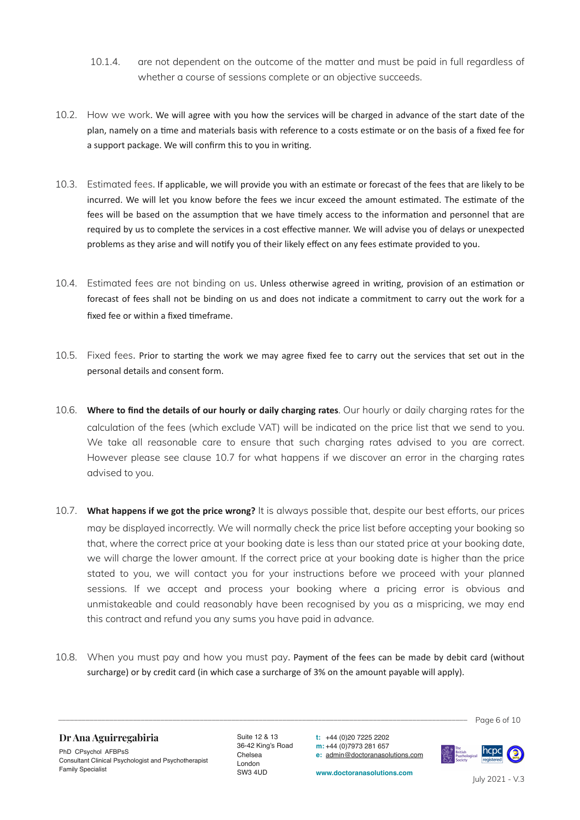- 10.1.4. are not dependent on the outcome of the matter and must be paid in full regardless of whether a course of sessions complete or an objective succeeds.
- 10.2. How we work. We will agree with you how the services will be charged in advance of the start date of the plan, namely on a time and materials basis with reference to a costs estimate or on the basis of a fixed fee for a support package. We will confirm this to you in writing.
- 10.3. Estimated fees. If applicable, we will provide you with an estimate or forecast of the fees that are likely to be incurred. We will let you know before the fees we incur exceed the amount estimated. The estimate of the fees will be based on the assumption that we have timely access to the information and personnel that are required by us to complete the services in a cost effective manner. We will advise you of delays or unexpected problems as they arise and will notify you of their likely effect on any fees estimate provided to you.
- 10.4. Estimated fees are not binding on us. Unless otherwise agreed in writing, provision of an estimation or forecast of fees shall not be binding on us and does not indicate a commitment to carry out the work for a fixed fee or within a fixed timeframe.
- 10.5. Fixed fees. Prior to starting the work we may agree fixed fee to carry out the services that set out in the personal details and consent form.
- 10.6. **Where to find the details of our hourly or daily charging rates**. Our hourly or daily charging rates for the calculation of the fees (which exclude VAT) will be indicated on the price list that we send to you. We take all reasonable care to ensure that such charging rates advised to you are correct. However please see clause 10.7 for what happens if we discover an error in the charging rates advised to you.
- 10.7. **What happens if we got the price wrong?** It is always possible that, despite our best efforts, our prices may be displayed incorrectly. We will normally check the price list before accepting your booking so that, where the correct price at your booking date is less than our stated price at your booking date, we will charge the lower amount. If the correct price at your booking date is higher than the price stated to you, we will contact you for your instructions before we proceed with your planned sessions. If we accept and process your booking where a pricing error is obvious and unmistakeable and could reasonably have been recognised by you as a mispricing, we may end this contract and refund you any sums you have paid in advance.
- 10.8. When you must pay and how you must pay. Payment of the fees can be made by debit card (without surcharge) or by credit card (in which case a surcharge of 3% on the amount payable will apply).

 $\frac{1}{2}$  Page 6 of 10

#### **Dr Ana Aguirregabiria**

PhD CPsychol AFBPsS Consultant Clinical Psychologist and Psychotherapist Family Specialist

Suite 12 & 13 36-42 King's Road Chelsea London SW3 4UD

**t:** +44 (0)20 7225 2202 **m:** +44 (0)7973 281 657 **e:** [admin@doctoranasolutions.com](mailto:admin@doctoranasolutions.com)

**www.doctoranasolutions.com**

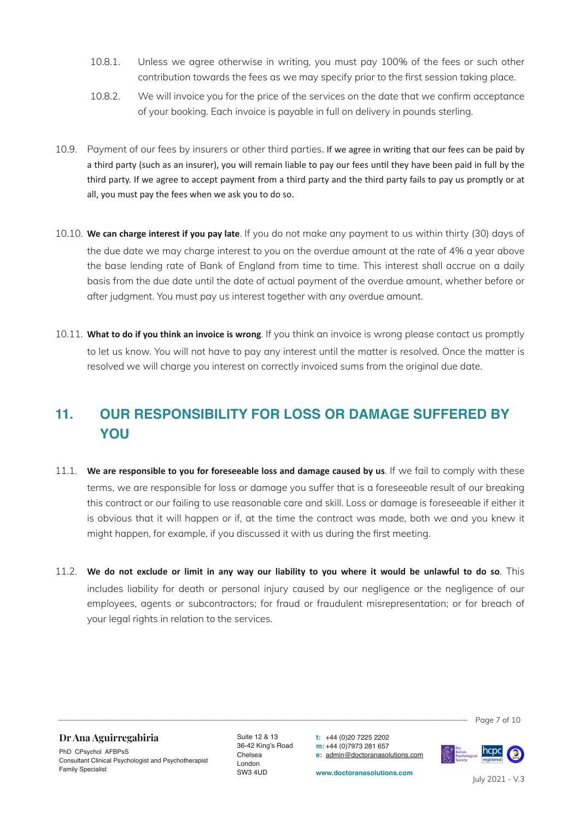- 10.8.1. Unless we agree otherwise in writing, you must pay 100% of the fees or such other contribution towards the fees as we may specify prior to the first session taking place.
- 10.8.2. We will invoice you for the price of the services on the date that we confirm acceptance of your booking. Each invoice is payable in full on delivery in pounds sterling.
- 10.9. Payment of our fees by insurers or other third parties. If we agree in writing that our fees can be paid by a third party (such as an insurer), you will remain liable to pay our fees until they have been paid in full by the third party. If we agree to accept payment from a third party and the third party fails to pay us promptly or at all, you must pay the fees when we ask you to do so.
- 10.10. **We can charge interest if you pay late**. If you do not make any payment to us within thirty (30) days of the due date we may charge interest to you on the overdue amount at the rate of 4% a year above the base lending rate of Bank of England from time to time. This interest shall accrue on a daily basis from the due date until the date of actual payment of the overdue amount, whether before or after judgment. You must pay us interest together with any overdue amount.
- 10.11. **What to do if you think an invoice is wrong**. If you think an invoice is wrong please contact us promptly to let us know. You will not have to pay any interest until the matter is resolved. Once the matter is resolved we will charge you interest on correctly invoiced sums from the original due date.

# **11. OUR RESPONSIBILITY FOR LOSS OR DAMAGE SUFFERED BY YOU**

- 11.1. **We are responsible to you for foreseeable loss and damage caused by us**. If we fail to comply with these terms, we are responsible for loss or damage you suffer that is a foreseeable result of our breaking this contract or our failing to use reasonable care and skill. Loss or damage is foreseeable if either it is obvious that it will happen or if, at the time the contract was made, both we and you knew it might happen, for example, if you discussed it with us during the first meeting.
- 11.2. **We do not exclude or limit in any way our liability to you where it would be unlawful to do so**. This includes liability for death or personal injury caused by our negligence or the negligence of our employees, agents or subcontractors; for fraud or fraudulent misrepresentation; or for breach of your legal rights in relation to the services.

 $\frac{1}{2}$  Page 7 of 10

#### **Dr Ana Aguirregabiria**

PhD CPsychol AFBPsS Consultant Clinical Psychologist and Psychotherapist Family Specialist

Suite 12 & 13 36-42 King's Road Chelsea London SW3 4UD

**t:** +44 (0)20 7225 2202 **m:** +44 (0)7973 281 657 **e:** [admin@doctoranasolutions.com](mailto:admin@doctoranasolutions.com)

**www.doctoranasolutions.com**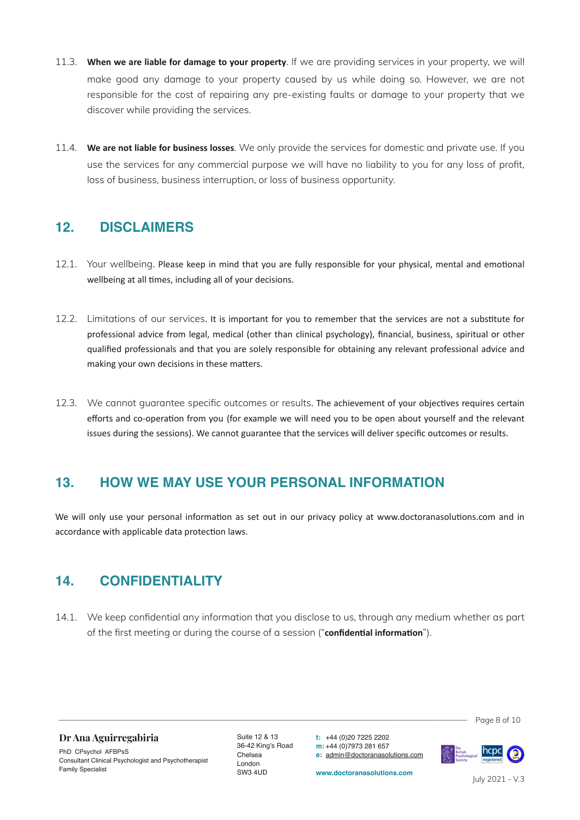- 11.3. **When we are liable for damage to your property**. If we are providing services in your property, we will make good any damage to your property caused by us while doing so. However, we are not responsible for the cost of repairing any pre-existing faults or damage to your property that we discover while providing the services.
- 11.4. **We are not liable for business losses**. We only provide the services for domestic and private use. If you use the services for any commercial purpose we will have no liability to you for any loss of profit, loss of business, business interruption, or loss of business opportunity.

### **12. DISCLAIMERS**

- 12.1. Your wellbeing. Please keep in mind that you are fully responsible for your physical, mental and emotional wellbeing at all times, including all of your decisions.
- 12.2. Limitations of our services. It is important for you to remember that the services are not a substitute for professional advice from legal, medical (other than clinical psychology), financial, business, spiritual or other qualified professionals and that you are solely responsible for obtaining any relevant professional advice and making your own decisions in these matters.
- 12.3. We cannot guarantee specific outcomes or results. The achievement of your objectives requires certain efforts and co-operation from you (for example we will need you to be open about yourself and the relevant issues during the sessions). We cannot guarantee that the services will deliver specific outcomes or results.

### **13. HOW WE MAY USE YOUR PERSONAL INFORMATION**

We will only use your personal information as set out in our privacy policy at www.doctoranasolutions.com and in accordance with applicable data protection laws.

### **14. CONFIDENTIALITY**

14.1. We keep confidential any information that you disclose to us, through any medium whether as part of the first meeting or during the course of a session ("**confidential information**").

 $\frac{1}{2}$  Page 8 of 10

**Dr Ana Aguirregabiria**

PhD CPsychol AFBPsS Consultant Clinical Psychologist and Psychotherapist Family Specialist

Suite 12 & 13 36-42 King's Road Chelsea London SW3 4UD

**t:** +44 (0)20 7225 2202 **m:** +44 (0)7973 281 657 **e:** [admin@doctoranasolutions.com](mailto:admin@doctoranasolutions.com)

**www.doctoranasolutions.com**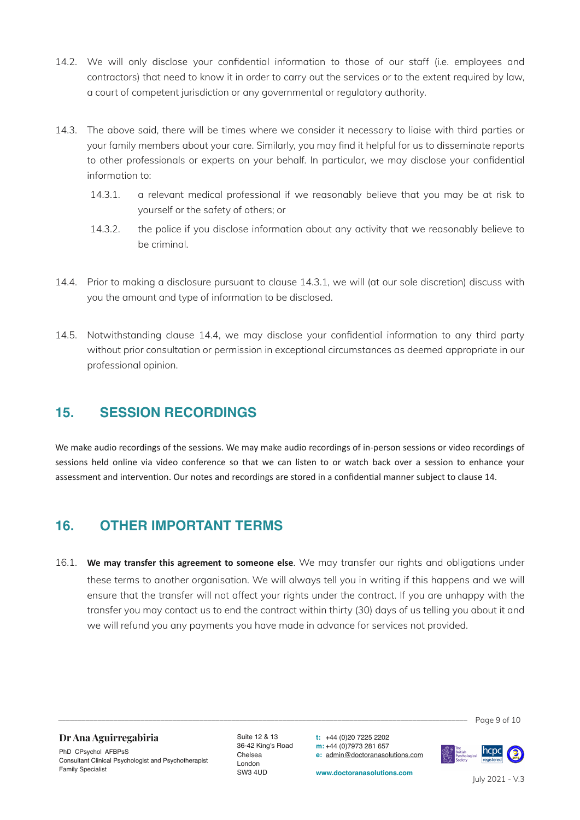- 14.2. We will only disclose your confidential information to those of our staff (i.e. employees and contractors) that need to know it in order to carry out the services or to the extent required by law, a court of competent jurisdiction or any governmental or regulatory authority.
- 14.3. The above said, there will be times where we consider it necessary to liaise with third parties or your family members about your care. Similarly, you may find it helpful for us to disseminate reports to other professionals or experts on your behalf. In particular, we may disclose your confidential information to:
	- 14.3.1. a relevant medical professional if we reasonably believe that you may be at risk to yourself or the safety of others; or
	- 14.3.2. the police if you disclose information about any activity that we reasonably believe to be criminal.
- 14.4. Prior to making a disclosure pursuant to clause 14.3.1, we will (at our sole discretion) discuss with you the amount and type of information to be disclosed.
- 14.5. Notwithstanding clause 14.4, we may disclose your confidential information to any third party without prior consultation or permission in exceptional circumstances as deemed appropriate in our professional opinion.

#### **15. SESSION RECORDINGS**

We make audio recordings of the sessions. We may make audio recordings of in-person sessions or video recordings of sessions held online via video conference so that we can listen to or watch back over a session to enhance your assessment and intervention. Our notes and recordings are stored in a confidential manner subject to clause 14.

#### **16. OTHER IMPORTANT TERMS**

16.1. **We may transfer this agreement to someone else**. We may transfer our rights and obligations under these terms to another organisation. We will always tell you in writing if this happens and we will ensure that the transfer will not affect your rights under the contract. If you are unhappy with the transfer you may contact us to end the contract within thirty (30) days of us telling you about it and we will refund you any payments you have made in advance for services not provided.

 $\overline{P}$  Page 9 of 10

#### **Dr Ana Aguirregabiria**

PhD CPsychol AFBPsS Consultant Clinical Psychologist and Psychotherapist Family Specialist

Suite 12 & 13 36-42 King's Road Chelsea London SW3 4UD

**t:** +44 (0)20 7225 2202 **m:** +44 (0)7973 281 657 **e:** [admin@doctoranasolutions.com](mailto:admin@doctoranasolutions.com)

**www.doctoranasolutions.com**